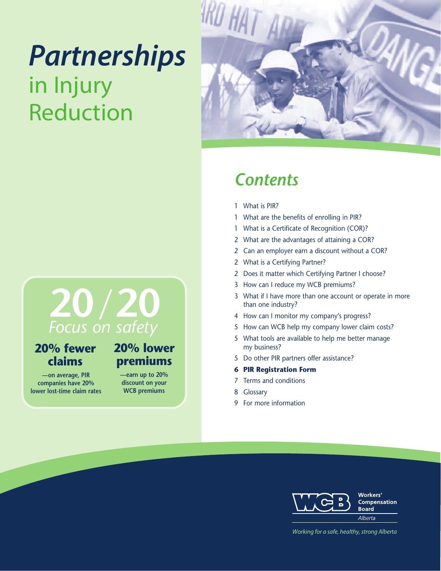## *Partnerships* in Injury Reduction



## *Contents*

- 1 What is PIR?
- 1 What are the benefits of enrolling in PIR?
- 1 What is a Certificate of Recognition (COR)?
- 2 What are the advantages of attaining a COR?
- 2 Can an employer earn a discount without a COR?
- 2 What is a Certifying Partner?
- 2 Does it matter which Certifying Partner I choose?
- 3 How can I reduce my WCB premiums?
- 3 What if I have more than one account or operate in more than one industry?
- 4 How can I monitor my company's progress?
- 5 How can WCB help my company lower claim costs?
- 5 What tools are available to help me better manage my business?
- 5 Do other PIR partners offer assistance?
- **6 PIR Registration Form**
- 7 Terms and conditions
- 8 Glossary
- 9 For more information

## **20***/* **20** *Focus on safety*

## **20% lower 20% fewer claims**

**—on average, PIR companies have 20% lower lost-time claim rates**

# **premiums**

**—earn up to 20% discount on your WCB premiums**



*Working* for *a* safe, healthy, strong Alberta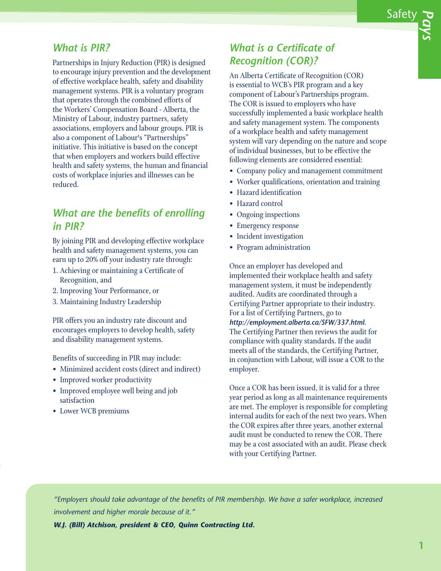#### *What is PIR?*

Partnerships in Injury Reduction (PIR) is designed to encourage injury prevention and the development of effective workplace health, safety and disability management systems. PIR is a voluntary program that operates through the combined efforts of the Workers' Compensation Board - Alberta, the Ministry of Labour, industry partners, safety associations, employers and labour groups. PIR is also a component of Labour's "Partnerships" initiative. This initiative is based on the concept that when employers and workers build effective health and safety systems, the human and financial costs of workplace injuries and illnesses can be reduced.

## *What are the benefits of enrolling in PIR?*

By joining PIR and developing effective workplace health and safety management systems, you can earn up to 20% off your industry rate through:

- 1. Achieving or maintaining a Certificate of Recognition, and
- 2. Improving Your Performance, or
- 3. Maintaining Industry Leadership

PIR offers you an industry rate discount and encourages employers to develop health, safety and disability management systems.

Benefits of succeeding in PIR may include:

- Minimized accident costs (direct and indirect)
- Improved worker productivity
- Improved employee well being and job satisfaction
- Lower WCB premiums

## *What is a Certificate of Recognition (COR)?*

An Alberta Certificate of Recognition (COR) is essential to WCB's PIR program and a key component of Labour's Partnerships program. The COR is issued to employers who have successfully implemented a basic workplace health and safety management system. The components of a workplace health and safety management system will vary depending on the nature and scope of individual businesses, but to be effective the following elements are considered essential:

- Company policy and management commitment
- Worker qualifications, orientation and training
- Hazard identification
- Hazard control
- Ongoing inspections
- Emergency response
- Incident investigation
- Program administration

Once an employer has developed and implemented their workplace health and safety management system, it must be independently audited. Audits are coordinated through a Certifying Partner appropriate to their industry. For a list of Certifying Partners, go to *http://employment.alberta.ca/SFW/337.html*. The Certifying Partner then reviews the audit for compliance with quality standards. If the audit meets all of the standards, the Certifying Partner, in conjunction with Labour, will issue a COR to the employer.

Once a COR has been issued, it is valid for a three year period as long as all maintenance requirements are met. The employer is responsible for completing internal audits for each of the next two years. When the COR expires after three years, another external audit must be conducted to renew the COR. There may be a cost associated with an audit. Please check with your Certifying Partner.

*"Employers should take advantage of the benefits of PIR membership. We have a safer workplace, increased involvement and higher morale because of it."*

*W.J. (Bill) Atchison, president & CEO, Quinn Contracting Ltd.*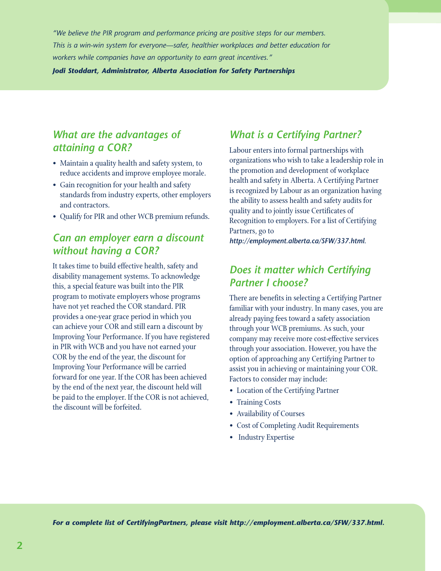*"We believe the PIR program and performance pricing are positive steps for our members. This is a win-win system for everyone—safer, healthier workplaces and better education for workers while companies have an opportunity to earn great incentives."*

*Jodi Stoddart, Administrator, Alberta Association for Safety Partnerships*

## *What are the advantages of attaining a COR?*

- Maintain a quality health and safety system, to reduce accidents and improve employee morale.
- Gain recognition for your health and safety standards from industry experts, other employers and contractors.
- Qualify for PIR and other WCB premium refunds.

## *Can an employer earn a discount without having a COR?*

It takes time to build effective health, safety and disability management systems. To acknowledge this, a special feature was built into the PIR program to motivate employers whose programs have not yet reached the COR standard. PIR provides a one-year grace period in which you can achieve your COR and still earn a discount by Improving Your Performance. If you have registered in PIR with WCB and you have not earned your COR by the end of the year, the discount for Improving Your Performance will be carried forward for one year. If the COR has been achieved by the end of the next year, the discount held will be paid to the employer. If the COR is not achieved, the discount will be forfeited.

## *What is a Certifying Partner?*

Labour enters into formal partnerships with organizations who wish to take a leadership role in the promotion and development of workplace health and safety in Alberta. A Certifying Partner is recognized by Labour as an organization having the ability to assess health and safety audits for quality and to jointly issue Certificates of Recognition to employers. For a list of Certifying Partners, go to

*http://employment.alberta.ca/SFW/337.html*.

## *Does it matter which Certifying Partner I choose?*

There are benefits in selecting a Certifying Partner familiar with your industry. In many cases, you are already paying fees toward a safety association through your WCB premiums. As such, your company may receive more cost-effective services through your association. However, you have the option of approaching any Certifying Partner to assist you in achieving or maintaining your COR. Factors to consider may include:

- Location of the Certifying Partner
- Training Costs
- Availability of Courses
- Cost of Completing Audit Requirements
- Industry Expertise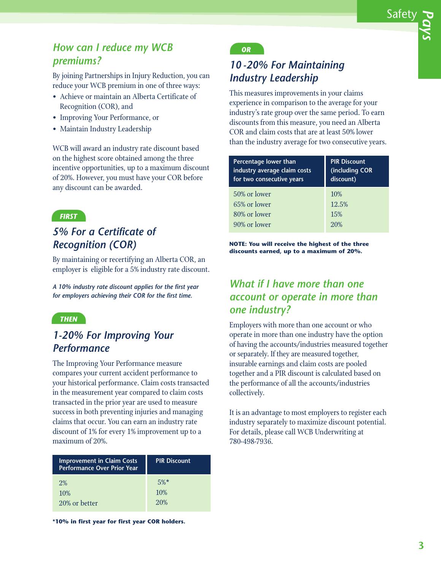## *How can I reduce my WCB premiums?*

By joining Partnerships in Injury Reduction, you can reduce your WCB premium in one of three ways:

- Achieve or maintain an Alberta Certificate of Recognition (COR), and
- Improving Your Performance, or
- Maintain Industry Leadership

WCB will award an industry rate discount based on the highest score obtained among the three incentive opportunities, up to a maximum discount of 20%. However, you must have your COR before any discount can be awarded.

#### *FIRST*

## *5% For a Certificate of Recognition (COR)*

By maintaining or recertifying an Alberta COR, an employer is eligible for a 5% industry rate discount.

*A 10% industry rate discount applies for the first year for employers achieving their COR for the first time.*

#### *THEN*

## *1-20% For Improving Your Performance*

The Improving Your Performance measure compares your current accident performance to your historical performance. Claim costs transacted in the measurement year compared to claim costs transacted in the prior year are used to measure success in both preventing injuries and managing claims that occur. You can earn an industry rate discount of 1% for every 1% improvement up to a maximum of 20%.

| <b>Improvement in Claim Costs</b><br><b>Performance Over Prior Year</b> | <b>PIR Discount</b> |
|-------------------------------------------------------------------------|---------------------|
| $2\%$                                                                   | $5\%*$              |
| 10%                                                                     | 10%                 |
| 20% or better                                                           | 20%                 |

**\*10% in first year for first year COR holders.**

#### *OR*

## *10 -20% For Maintaining Industry Leadership*

This measures improvements in your claims experience in comparison to the average for your industry's rate group over the same period. To earn discounts from this measure, you need an Alberta COR and claim costs that are at least 50% lower than the industry average for two consecutive years.

| <b>Percentage lower than</b><br>industry average claim costs<br>for two consecutive years | <b>PIR Discount</b><br>(including COR<br>discount) |
|-------------------------------------------------------------------------------------------|----------------------------------------------------|
| 50% or lower                                                                              | 10%                                                |
| 65% or lower                                                                              | 12.5%                                              |
| 80% or lower                                                                              | 15%                                                |
| 90% or lower                                                                              | 20%                                                |

**NOTE: You will receive the highest of the three discounts earned, up to a maximum of 20%.**

## *What if I have more than one account or operate in more than one industry?*

Employers with more than one account or who operate in more than one industry have the option of having the accounts/industries measured together or separately. If they are measured together, insurable earnings and claim costs are pooled together and a PIR discount is calculated based on the performance of all the accounts/industries collectively.

It is an advantage to most employers to register each industry separately to maximize discount potential. For details, please call WCB Underwriting at 780-498-7936.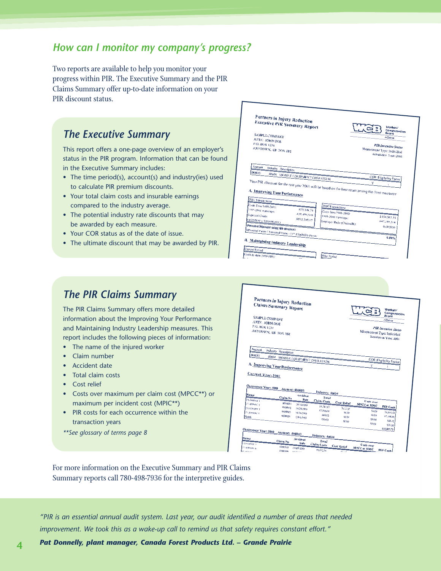#### *How can I monitor my company's progress?*

Two reports are available to help you monitor your progress within PIR. The Executive Summary and the PIR Claims Summary offer up-to-date information on your PIR discount status.

#### *The Executive Summary*

This report offers a one-page overview of an employer's status in the PIR program. Information that can be found in the Executive Summary includes:

- The time period(s), account(s) and industry(ies) used to calculate PIR premium discounts.
- Your total claim costs and insurable earnings compared to the industry average.
- The potential industry rate discounts that may be awarded by each measure.
- Your COR status as of the date of issue.
- The ultimate discount that may be awarded by PIR.



#### *The PIR Claims Summary*

The PIR Claims Summary offers more detailed information about the Improving Your Performance and Maintaining Industry Leadership measures. This report includes the following pieces of information:

- The name of the injured worker
- Claim number
- Accident date
- Total claim costs
- Cost relief
- Costs over maximum per claim cost (MPCC\*\*) or maximum per incident cost (MPIC\*\*)
- PIR costs for each occurrence within the transaction years
- *\*\*See glossary of terms page 8*



For more information on the Executive Summary and PIR Claims Summary reports call 780-498-7936 for the interpretive guides.

"PIR is an essential annual audit system. Last year, our audit identified a number of areas that needed *improvement. We took this as a wake-up call to remind us that safety requires constant effort."*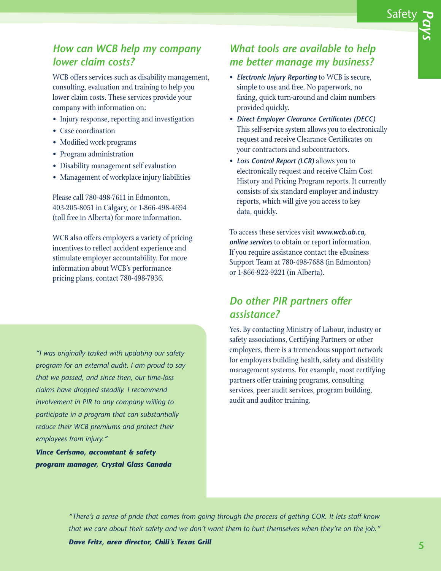## *How can WCB help my company lower claim costs?*

WCB offers services such as disability management, consulting, evaluation and training to help you lower claim costs. These services provide your company with information on:

- Injury response, reporting and investigation
- Case coordination
- Modified work programs
- Program administration
- Disability management self evaluation
- Management of workplace injury liabilities

Please call 780-498-7611 in Edmonton, 403-205-8051 in Calgary, or 1-866-498-4694 (toll free in Alberta) for more information.

WCB also offers employers a variety of pricing incentives to reflect accident experience and stimulate employer accountability. For more information about WCB's performance pricing plans, contact 780-498-7936.

*"I was originally tasked with updating our safety program for an external audit. I am proud to say that we passed, and since then, our time-loss claims have dropped steadily. I recommend involvement in PIR to any company willing to participate in a program that can substantially reduce their WCB premiums and protect their employees from injury."*

*Vince Cerisano, accountant & safety program manager, Crystal Glass Canada*

#### *What tools are available to help me better manage my business?*

- *Electronic Injury Reporting* to WCB is secure, simple to use and free. No paperwork, no faxing, quick turn-around and claim numbers provided quickly.
- *Direct Employer Clearance Certificates (DECC)* This self-service system allows you to electronically request and receive Clearance Certificates on your contractors and subcontractors.
- *Loss Control Report (LCR)* allows you to electronically request and receive Claim Cost History and Pricing Program reports. It currently consists of six standard employer and industry reports, which will give you access to key data, quickly.

To access these services visit *www.wcb.ab.ca, online services* to obtain or report information. If you require assistance contact the eBusiness Support Team at 780-498-7688 (in Edmonton) or 1-866-922-9221 (in Alberta).

## *Do other PIR partners offer assistance?*

Yes. By contacting Ministry of Labour, industry or safety associations, Certifying Partners or other employers, there is a tremendous support network for employers building health, safety and disability management systems. For example, most certifying partners offer training programs, consulting services, peer audit services, program building, audit and auditor training.

"There's a sense of pride that comes from going through the process of getting COR. It lets staff know that we care about their safety and we don't want them to hurt themselves when they're on the job."

*Dave Fritz, area director, Chili's Texas Grill*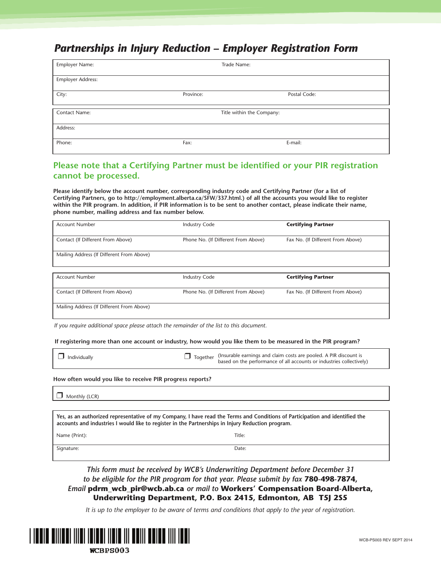## *Partnerships in Injury Reduction – Employer Registration Form*

| Employer Name:    | Trade Name:               |              |
|-------------------|---------------------------|--------------|
| Employer Address: |                           |              |
| City:             | Province:                 | Postal Code: |
| Contact Name:     | Title within the Company: |              |
| Address:          |                           |              |
| Phone:            | Fax:                      | E-mail:      |

#### **Please note that a Certifying Partner must be identified or your PIR registration cannot be processed.**

**Please identify below the account number, corresponding industry code and Certifying Partner (for a list of Certifying Partners, go to http://employment.alberta.ca/SFW/337.html.) of all the accounts you would like to register** within the PIR program. In addition, if PIR information is to be sent to another contact, please indicate their name, **phone number, mailing address and fax number below.**

| <b>Account Number</b>                     | <b>Industry Code</b>                | <b>Certifying Partner</b>         |
|-------------------------------------------|-------------------------------------|-----------------------------------|
| Contact (If Different From Above)         | Phone No. (If Different From Above) | Fax No. (If Different From Above) |
| Mailing Address (If Different From Above) |                                     |                                   |
|                                           |                                     |                                   |
| <b>Account Number</b>                     | <b>Industry Code</b>                | <b>Certifying Partner</b>         |
| Contact (If Different From Above)         | Phone No. (If Different From Above) | Fax No. (If Different From Above) |
| Mailing Address (If Different From Above) |                                     |                                   |

*If you require additional space please attach the remainder of the list to this document.*

If registering more than one account or industry, how would you like them to be measured in the PIR program?

| $\Box$ Individually |  | Together (Insurable earnings and claim costs are pooled. A PIR discount is<br>based on the performance of all accounts or industries collectively) |
|---------------------|--|----------------------------------------------------------------------------------------------------------------------------------------------------|
|---------------------|--|----------------------------------------------------------------------------------------------------------------------------------------------------|

#### **How often would you like to receive PIR progress reports?**

❒ Monthly (LCR)

Yes, as an authorized representative of my Company, I have read the Terms and Conditions of Participation and identified the **accounts and industries I would like to register in the Partnerships in Injury Reduction program.**

Name (Print): Title:

Signature: Date:

*This form must be received by WCB's Underwriting Department before December 31 to be eligible for the PIR program for that year. Please submit by fax* **780-498-7874,** *Email* **pdrm\_wcb\_pir@wcb.ab.ca** *or mail to* **Workers' Compensation Board-Alberta, Underwriting Department, P.O. Box 2415, Edmonton, AB T5J 2S5**

It is up to the employer to be aware of terms and conditions that apply to the year of registration.

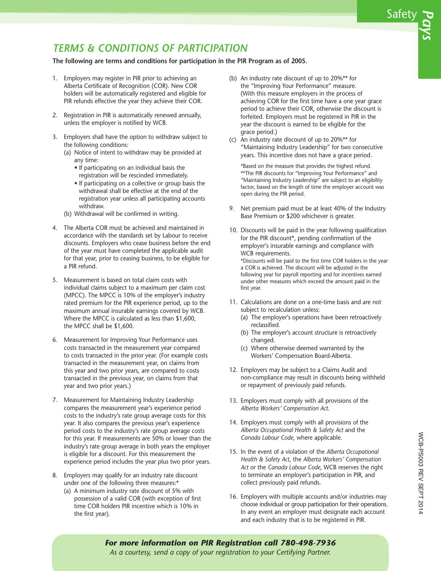## *TERMS & CONDITIONS OF PARTICIPATION*

#### **The following are terms and conditions for participation in the PIR Program as of 2005.**

- 1. Employers may register in PIR prior to achieving an Alberta Certificate of Recognition (COR). New COR holders will be automatically registered and eligible for PIR refunds effective the year they achieve their COR.
- 2. Registration in PIR is automatically renewed annually, unless the employer is notified by WCB.
- 3. Employers shall have the option to withdraw subject to the following conditions:
	- (a) Notice of intent to withdraw may be provided at any time:
		- If participating on an individual basis the registration will be rescinded immediately.
		- If participating on a collective or group basis the withdrawal shall be effective at the end of the registration year unless all participating accounts withdraw.
	- (b) Withdrawal will be confirmed in writing.
- 4. The Alberta COR must be achieved and maintained in accordance with the standards set by Labour to receive discounts. Employers who cease business before the end of the year must have completed the applicable audit for that year, prior to ceasing business, to be eligible for a PIR refund.
- 5. Measurement is based on total claim costs with individual claims subject to a maximum per claim cost (MPCC). The MPCC is 10% of the employer's industry rated premium for the PIR experience period, up to the maximum annual insurable earnings covered by WCB. Where the MPCC is calculated as less than \$1,600, the MPCC shall be \$1,600.
- 6. Measurement for Improving Your Performance uses costs transacted in the measurement year compared to costs transacted in the prior year. (For example costs transacted in the measurement year, on claims from this year and two prior years, are compared to costs transacted in the previous year, on claims from that year and two prior years.)
- 7. Measurement for Maintaining Industry Leadership compares the measurement year's experience period costs to the industry's rate group average costs for this year. It also compares the previous year's experience period costs to the industry's rate group average costs for this year. If measurements are 50% or lower than the industry's rate group average in both years the employer is eligible for a discount. For this measurement the experience period includes the year plus two prior years.
- 8. Employers may qualify for an industry rate discount under one of the following three measures:\*
	- (a) A minimum industry rate discount of 5% with possession of a valid COR (with exception of first time COR holders PIR incentive which is 10% in the first year).
- (b) An industry rate discount of up to 20%\*\* for the "Improving Your Performance" measure. (With this measure employers in the process of achieving COR for the first time have a one year grace period to achieve their COR, otherwise the discount is forfeited. Employers must be registered in PIR in the year the discount is earned to be eligible for the grace period.)
- (c) An industry rate discount of up to 20%\*\* for "Maintaining Industry Leadership" for two consecutive years. This incentive does not have a grace period.

 \*Based on the measure that provides the highest refund. \*\*The PIR discounts for "Improving Your Performance" and "Maintaining Industry Leadership" are subject to an eligibility factor, based on the length of time the employer account was open during the PIR period.

- 9. Net premium paid must be at least 40% of the Industry Base Premium or \$200 whichever is greater.
- 10. Discounts will be paid in the year following qualification for the PIR discount\*, pending confirmation of the employer's insurable earnings and compliance with WCB requirements. \*Discounts will be paid to the first time COR holders in the year a COR is achieved. The discount will be adjusted in the

following year for payroll reporting and for incentives earned under other measures which exceed the amount paid in the first year.

- 11. Calculations are done on a one-time basis and are not subject to recalculation unless:
	- (a) The employer's operations have been retroactively reclassified.
	- (b) The employer's account structure is retroactively changed.
	- (c) Where otherwise deemed warranted by the Workers' Compensation Board-Alberta.
- 12. Employers may be subject to a Claims Audit and non-compliance may result in discounts being withheld or repayment of previously paid refunds.
- 13. Employers must comply with all provisions of the *Alberta Workers' Compensation Act*.
- 14. Employers must comply with all provisions of the *Alberta Occupational Health & Safety Act* and the *Canada Labour Code*, where applicable.
- 15. In the event of a violation of the *Alberta Occupational Health & Safety Act*, the *Alberta Workers' Compensation Act* or the *Canada Labour Code*, WCB reserves the right to terminate an employer's participation in PIR, and collect previously paid refunds.
- 16. Employers with multiple accounts and/or industries may choose individual or group participation for their operations. In any event an employer must designate each account and each industry that is to be registered in PIR.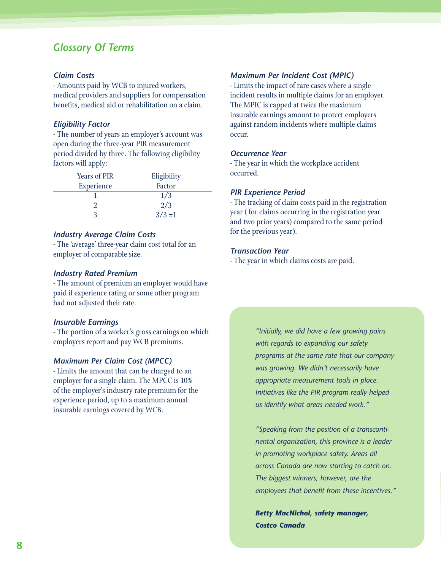#### *Glossary Of Terms*

#### *Claim Costs*

- Amounts paid by WCB to injured workers, medical providers and suppliers for compensation benefits, medical aid or rehabilitation on a claim.

#### *Eligibility Factor*

- The number of years an employer's account was open during the three-year PIR measurement period divided by three. The following eligibility factors will apply:

| <b>Years of PIR</b> | Eligibility |
|---------------------|-------------|
| Experience          | Factor      |
|                     | 1/3         |
|                     | 2/3         |
| 3                   | $3/3=1$     |

#### *Industry Average Claim Costs*

- The 'average' three-year claim cost total for an employer of comparable size.

#### *Industry Rated Premium*

- The amount of premium an employer would have paid if experience rating or some other program had not adjusted their rate.

#### *Insurable Earnings*

- The portion of a worker's gross earnings on which employers report and pay WCB premiums.

#### *Maximum Per Claim Cost (MPCC)*

- Limits the amount that can be charged to an employer for a single claim. The MPCC is 10% of the employer's industry rate premium for the experience period, up to a maximum annual insurable earnings covered by WCB.

#### *Maximum Per Incident Cost (MPIC)*

- Limits the impact of rare cases where a single incident results in multiple claims for an employer. The MPIC is capped at twice the maximum insurable earnings amount to protect employers against random incidents where multiple claims occur.

#### *Occurrence Year*

- The year in which the workplace accident occurred.

#### *PIR Experience Period*

- The tracking of claim costs paid in the registration year ( for claims occurring in the registration year and two prior years) compared to the same period for the previous year).

#### *Transaction Year*

- The year in which claims costs are paid.

*"Initially, we did have a few growing pains with regards to expanding our safety programs at the same rate that our company was growing. We didn't necessarily have appropriate measurement tools in place. Initiatives like the PIR program really helped us identify what areas needed work."*

*"Speaking from the position of a transcontinental organization, this province is a leader in promoting workplace safety. Areas all across Canada are now starting to catch on. The biggest winners, however, are the employees that benefit from these incentives."*

*Betty MacNichol, safety manager, Costco Canada*